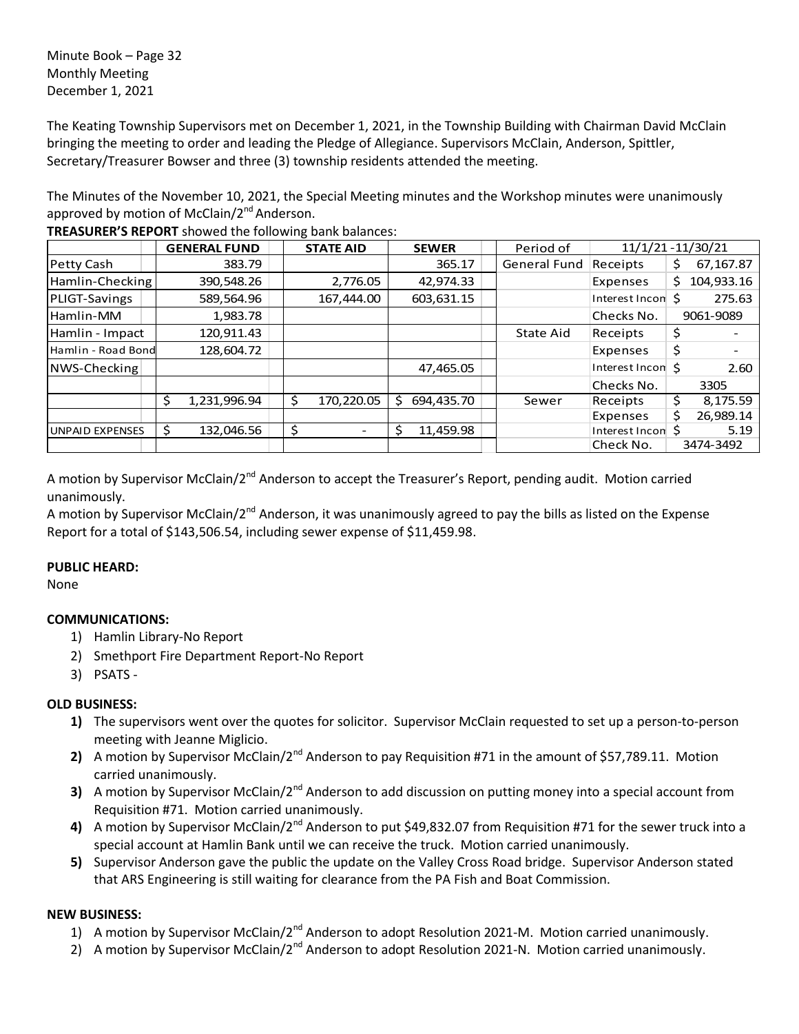Minute Book – Page 32 Monthly Meeting December 1, 2021

The Keating Township Supervisors met on December 1, 2021, in the Township Building with Chairman David McClain bringing the meeting to order and leading the Pledge of Allegiance. Supervisors McClain, Anderson, Spittler, Secretary/Treasurer Bowser and three (3) township residents attended the meeting.

The Minutes of the November 10, 2021, the Special Meeting minutes and the Workshop minutes were unanimously approved by motion of McClain/2<sup>nd</sup> Anderson.

|                        | <b>GENERAL FUND</b> | <b>STATE AID</b> | <b>SEWER</b> | Period of    | 11/1/21 - 11/30/21 |                   |
|------------------------|---------------------|------------------|--------------|--------------|--------------------|-------------------|
| Petty Cash             | 383.79              |                  | 365.17       | General Fund | Receipts           | 67,167.87<br>\$   |
| Hamlin-Checking        | 390,548.26          | 2,776.05         | 42,974.33    |              | Expenses           | 104,933.16<br>\$. |
| PLIGT-Savings          | 589,564.96          | 167,444.00       | 603,631.15   |              | Interest Incon     | 275.63<br>Ś       |
| Hamlin-MM              | 1,983.78            |                  |              |              | Checks No.         | 9061-9089         |
| Hamlin - Impact        | 120,911.43          |                  |              | State Aid    | Receipts           | \$                |
| Hamlin - Road Bond     | 128,604.72          |                  |              |              | Expenses           | \$                |
| NWS-Checking           |                     |                  | 47,465.05    |              | Interest Incon \$  | 2.60              |
|                        |                     |                  |              |              | Checks No.         | 3305              |
|                        | Ś<br>1,231,996.94   | \$<br>170.220.05 | 694.435.70   | Sewer        | Receipts           | 8,175.59<br>\$    |
|                        |                     |                  |              |              | Expenses           | \$<br>26,989.14   |
| <b>UNPAID EXPENSES</b> | \$.<br>132,046.56   | \$               | 11,459.98    |              | Interest Incon     | Ś<br>5.19         |
|                        |                     |                  |              |              | Check No.          | 3474-3492         |

**TREASURER'S REPORT** showed the following bank balances:

A motion by Supervisor McClain/2<sup>nd</sup> Anderson to accept the Treasurer's Report, pending audit. Motion carried unanimously.

A motion by Supervisor McClain/2<sup>nd</sup> Anderson, it was unanimously agreed to pay the bills as listed on the Expense Report for a total of \$143,506.54, including sewer expense of \$11,459.98.

## **PUBLIC HEARD:**

None

## **COMMUNICATIONS:**

- 1) Hamlin Library-No Report
- 2) Smethport Fire Department Report-No Report
- 3) PSATS -

## **OLD BUSINESS:**

- **1)** The supervisors went over the quotes for solicitor. Supervisor McClain requested to set up a person-to-person meeting with Jeanne Miglicio.
- **2)** A motion by Supervisor McClain/2<sup>nd</sup> Anderson to pay Requisition #71 in the amount of \$57,789.11. Motion carried unanimously.
- **3)** A motion by Supervisor McClain/2<sup>nd</sup> Anderson to add discussion on putting money into a special account from Requisition #71. Motion carried unanimously.
- **4)** A motion by Supervisor McClain/2nd Anderson to put \$49,832.07 from Requisition #71 for the sewer truck into a special account at Hamlin Bank until we can receive the truck. Motion carried unanimously.
- **5)** Supervisor Anderson gave the public the update on the Valley Cross Road bridge. Supervisor Anderson stated that ARS Engineering is still waiting for clearance from the PA Fish and Boat Commission.

## **NEW BUSINESS:**

- 1) A motion by Supervisor McClain/2<sup>nd</sup> Anderson to adopt Resolution 2021-M. Motion carried unanimously.
- 2) A motion by Supervisor McClain/2<sup>nd</sup> Anderson to adopt Resolution 2021-N. Motion carried unanimously.